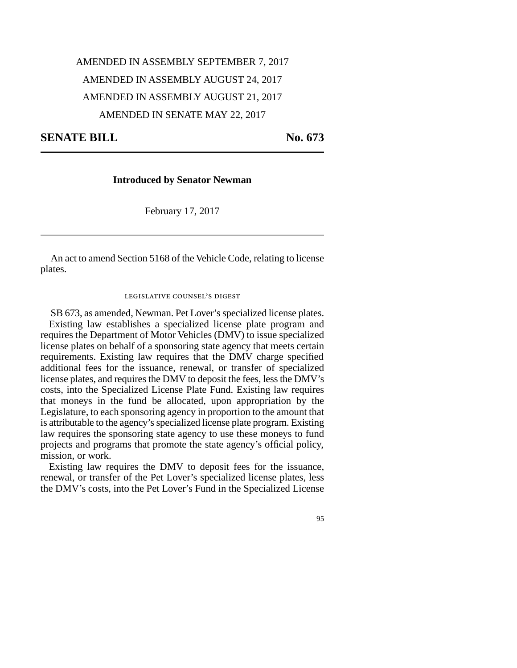## AMENDED IN ASSEMBLY SEPTEMBER 7, 2017 AMENDED IN ASSEMBLY AUGUST 24, 2017 AMENDED IN ASSEMBLY AUGUST 21, 2017 AMENDED IN SENATE MAY 22, 2017

**SENATE BILL** No. 673

**Introduced by Senator Newman**

February 17, 2017

An act to amend Section 5168 of the Vehicle Code, relating to license plates.

legislative counsel's digest

SB 673, as amended, Newman. Pet Lover's specialized license plates. Existing law establishes a specialized license plate program and requires the Department of Motor Vehicles (DMV) to issue specialized license plates on behalf of a sponsoring state agency that meets certain requirements. Existing law requires that the DMV charge specified additional fees for the issuance, renewal, or transfer of specialized license plates, and requires the DMV to deposit the fees, less the DMV's costs, into the Specialized License Plate Fund. Existing law requires that moneys in the fund be allocated, upon appropriation by the Legislature, to each sponsoring agency in proportion to the amount that is attributable to the agency's specialized license plate program. Existing law requires the sponsoring state agency to use these moneys to fund projects and programs that promote the state agency's official policy, mission, or work.

Existing law requires the DMV to deposit fees for the issuance, renewal, or transfer of the Pet Lover's specialized license plates, less the DMV's costs, into the Pet Lover's Fund in the Specialized License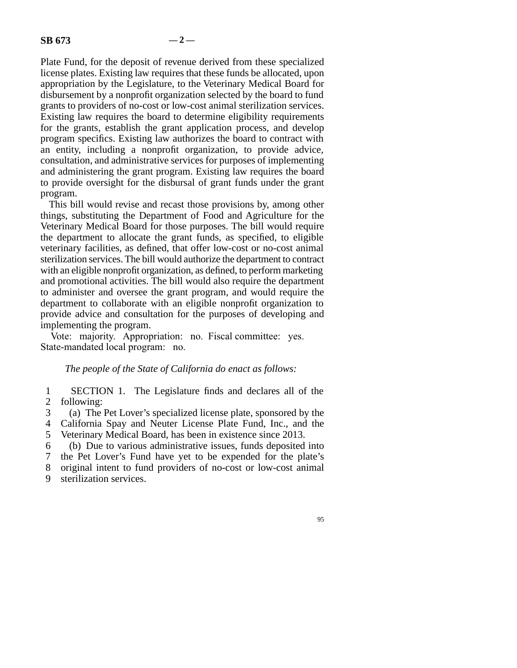Plate Fund, for the deposit of revenue derived from these specialized license plates. Existing law requires that these funds be allocated, upon appropriation by the Legislature, to the Veterinary Medical Board for disbursement by a nonprofit organization selected by the board to fund grants to providers of no-cost or low-cost animal sterilization services. Existing law requires the board to determine eligibility requirements for the grants, establish the grant application process, and develop program specifics. Existing law authorizes the board to contract with an entity, including a nonprofit organization, to provide advice, consultation, and administrative services for purposes of implementing and administering the grant program. Existing law requires the board to provide oversight for the disbursal of grant funds under the grant program.

This bill would revise and recast those provisions by, among other things, substituting the Department of Food and Agriculture for the Veterinary Medical Board for those purposes. The bill would require the department to allocate the grant funds, as specified, to eligible veterinary facilities, as defined, that offer low-cost or no-cost animal sterilization services. The bill would authorize the department to contract with an eligible nonprofit organization, as defined, to perform marketing and promotional activities. The bill would also require the department to administer and oversee the grant program, and would require the department to collaborate with an eligible nonprofit organization to provide advice and consultation for the purposes of developing and implementing the program.

Vote: majority. Appropriation: no. Fiscal committee: yes. State-mandated local program: no.

## *The people of the State of California do enact as follows:*

1 SECTION 1. The Legislature finds and declares all of the 2 following:

line 3 (a) The Pet Lover's specialized license plate, sponsored by the

4 California Spay and Neuter License Plate Fund, Inc., and the

5 Veterinary Medical Board, has been in existence since 2013.

line 6 (b) Due to various administrative issues, funds deposited into

7 the Pet Lover's Fund have yet to be expended for the plate's

8 original intent to fund providers of no-cost or low-cost animal

9 sterilization services.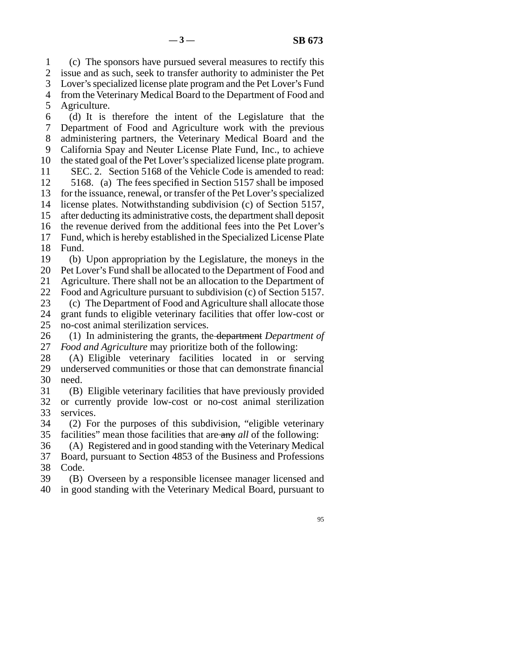line 1 (c) The sponsors have pursued several measures to rectify this 2 issue and as such, seek to transfer authority to administer the Pet 3 Lover's specialized license plate program and the Pet Lover's Fund 4 from the Veterinary Medical Board to the Department of Food and 5 Agriculture. line 6 (d) It is therefore the intent of the Legislature that the 7 Department of Food and Agriculture work with the previous 8 administering partners, the Veterinary Medical Board and the 9 California Spay and Neuter License Plate Fund, Inc., to achieve 10 the stated goal of the Pet Lover's specialized license plate program. 11 SEC. 2. Section 5168 of the Vehicle Code is amended to read: 12 5168. (a) The fees specified in Section 5157 shall be imposed 13 for the issuance, renewal, or transfer of the Pet Lover's specialized 14 license plates. Notwithstanding subdivision (c) of Section 5157, 15 after deducting its administrative costs, the department shall deposit 16 the revenue derived from the additional fees into the Pet Lover's 17 Fund, which is hereby established in the Specialized License Plate 18 Fund. 19 (b) Upon appropriation by the Legislature, the moneys in the 20 Pet Lover's Fund shall be allocated to the Department of Food and

21 Agriculture. There shall not be an allocation to the Department of

22 Food and Agriculture pursuant to subdivision (c) of Section 5157. 23 (c) The Department of Food and Agriculture shall allocate those

- 24 grant funds to eligible veterinary facilities that offer low-cost or no-cost animal sterilization services. no-cost animal sterilization services.
- 26 (1) In administering the grants, the department *Department of* 27 *Food and Agriculture* may prioritize both of the following: Food and Agriculture may prioritize both of the following:
- 28 (A) Eligible veterinary facilities located in or serving 29 underserved communities or those that can demonstrate financial 30 need.
- 31 (B) Eligible veterinary facilities that have previously provided 32 or currently provide low-cost or no-cost animal sterilization 33 services.
- 34 (2) For the purposes of this subdivision, "eligible veterinary 35 facilities" mean those facilities that are any *all* of the following:
- 36 (A) Registered and in good standing with the Veterinary Medical 37 Board, pursuant to Section 4853 of the Business and Professions 38 Code.
- 39 (B) Overseen by a responsible licensee manager licensed and 40 in good standing with the Veterinary Medical Board, pursuant to
	- 95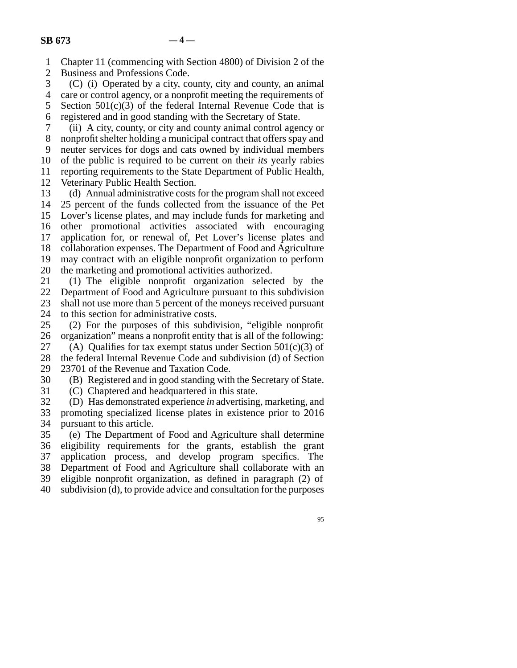1 Chapter 11 (commencing with Section 4800) of Division 2 of the

2 Business and Professions Code.<br>3 (C) (i) Operated by a city, co  $(C)$  (i) Operated by a city, county, city and county, an animal

4 care or control agency, or a nonprofit meeting the requirements of 5 Section  $501(c)(3)$  of the federal Internal Revenue Code that is

6 registered and in good standing with the Secretary of State.

 line 7 (ii) A city, county, or city and county animal control agency or 8 nonprofit shelter holding a municipal contract that offers spay and 9 neuter services for dogs and cats owned by individual members 10 of the public is required to be current on their *its* yearly rabies

11 reporting requirements to the State Department of Public Health,

12 Veterinary Public Health Section.

13 (d) Annual administrative costs for the program shall not exceed 14 25 percent of the funds collected from the issuance of the Pet 15 Lover's license plates, and may include funds for marketing and 16 other promotional activities associated with encouraging 17 application for, or renewal of, Pet Lover's license plates and 18 collaboration expenses. The Department of Food and Agriculture 19 may contract with an eligible nonprofit organization to perform 20 the marketing and promotional activities authorized.

21 (1) The eligible nonprofit organization selected by the 22 Department of Food and Agriculture pursuant to this subdivision 23 shall not use more than 5 percent of the moneys received pursuant

24 to this section for administrative costs.<br>25 (2) For the purposes of this subdiv  $(2)$  For the purposes of this subdivision, "eligible nonprofit 26 organization" means a nonprofit entity that is all of the following:

27 (A) Qualifies for tax exempt status under Section  $501(c)(3)$  of 28 the federal Internal Revenue Code and subdivision (d) of Section 29 23701 of the Revenue and Taxation Code.

30 (B) Registered and in good standing with the Secretary of State.

31 (C) Chaptered and headquartered in this state.

 line 32 (D) Has demonstrated experience *in* advertising, marketing, and 33 promoting specialized license plates in existence prior to 2016 34 pursuant to this article.

 line 35 (e) The Department of Food and Agriculture shall determine 36 eligibility requirements for the grants, establish the grant 37 application process, and develop program specifics. The 38 Department of Food and Agriculture shall collaborate with an 39 eligible nonprofit organization, as defined in paragraph (2) of 40 subdivision (d), to provide advice and consultation for the purposes